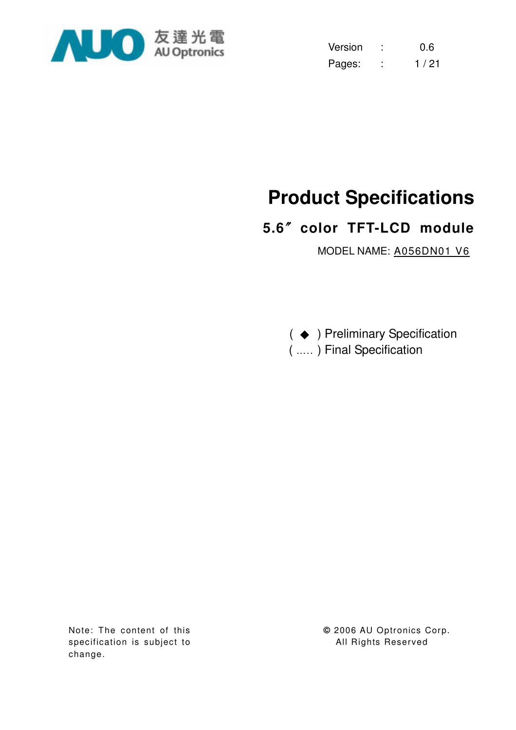

| Version | 0.6  |
|---------|------|
| Pages:  | 1/21 |

# **Product Specifications**

# **5.6**ϛ**color TFT-LCD module**

MODEL NAME: A056DN01 V6

( ♦ ) Preliminary Specification ( ….. ) Final Specification

Note: The content of this specification is subject to change.

**©** 2006 AU Optronics Corp. All Rights Reserved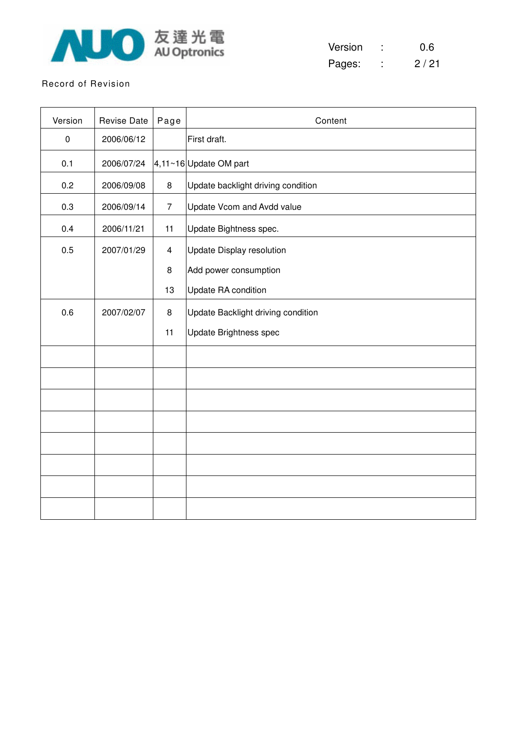

| Version | 0.6  |
|---------|------|
| Pages:  | 2/21 |

#### Record of Revision

| Version          | <b>Revise Date</b> | Page                    | Content                            |
|------------------|--------------------|-------------------------|------------------------------------|
| $\boldsymbol{0}$ | 2006/06/12         |                         | First draft.                       |
| 0.1              | 2006/07/24         |                         | 4,11~16 Update OM part             |
| 0.2              | 2006/09/08         | 8                       | Update backlight driving condition |
| 0.3              | 2006/09/14         | $\overline{7}$          | Update Vcom and Avdd value         |
| 0.4              | 2006/11/21         | 11                      | Update Bightness spec.             |
| 0.5              | 2007/01/29         | $\overline{\mathbf{4}}$ | <b>Update Display resolution</b>   |
|                  |                    | $\bf 8$                 | Add power consumption              |
|                  |                    | 13                      | Update RA condition                |
| 0.6              | 2007/02/07         | 8                       | Update Backlight driving condition |
|                  |                    | 11                      | Update Brightness spec             |
|                  |                    |                         |                                    |
|                  |                    |                         |                                    |
|                  |                    |                         |                                    |
|                  |                    |                         |                                    |
|                  |                    |                         |                                    |
|                  |                    |                         |                                    |
|                  |                    |                         |                                    |
|                  |                    |                         |                                    |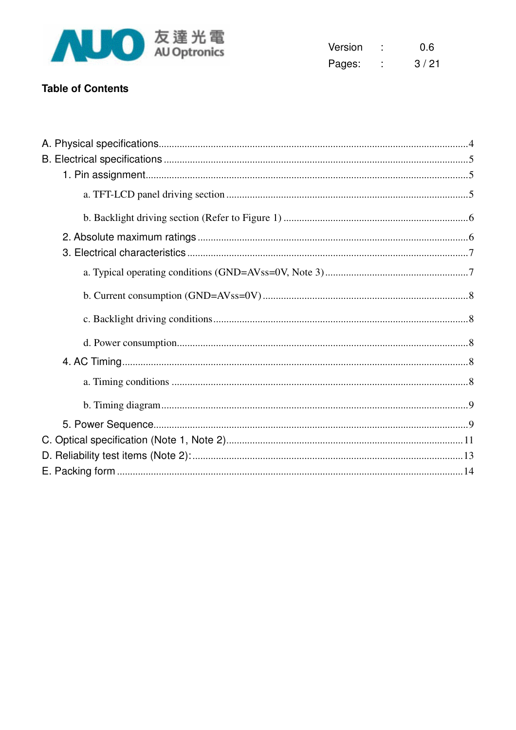

| Version | 0.6  |
|---------|------|
| Pages:  | 3/21 |

## **Table of Contents**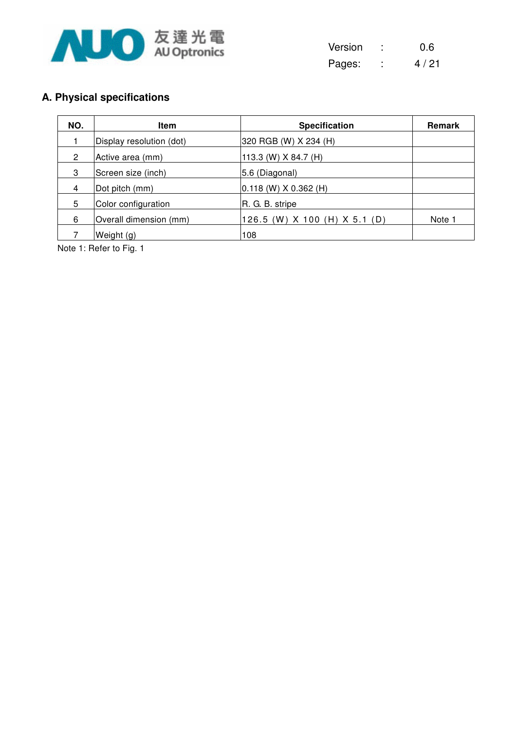

| Version | 0.6    |
|---------|--------|
| Pages:  | 4 / 21 |

# **A. Physical specifications**

| NO. | <b>Item</b>              | <b>Specification</b>             | <b>Remark</b> |
|-----|--------------------------|----------------------------------|---------------|
|     | Display resolution (dot) | 320 RGB (W) X 234 (H)            |               |
| 2   | Active area (mm)         | 113.3 (W) $X$ 84.7 (H)           |               |
| 3   | Screen size (inch)       | 5.6 (Diagonal)                   |               |
| 4   | Dot pitch (mm)           | $ 0.118 \ (W) \ X \ 0.362 \ (H)$ |               |
| 5   | Color configuration      | R. G. B. stripe                  |               |
| 6   | Overall dimension (mm)   | 126.5 (W) X 100 (H) X 5.1 (D)    | Note 1        |
|     | Weight (g)               | 108                              |               |

Note 1: Refer to Fig. 1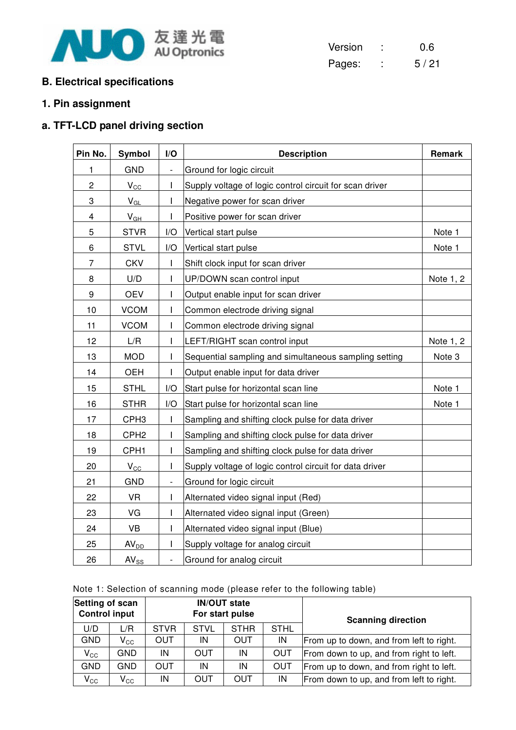

| Version |   | 0.6  |
|---------|---|------|
| Pages:  | ٠ | 5/21 |

## **B. Electrical specifications**

# **1. Pin assignment**

# **a. TFT-LCD panel driving section**

| Pin No.                 | Symbol           | I/O                          | <b>Description</b>                                      | Remark    |
|-------------------------|------------------|------------------------------|---------------------------------------------------------|-----------|
| 1                       | <b>GND</b>       | $\qquad \qquad \blacksquare$ | Ground for logic circuit                                |           |
| $\overline{c}$          | $V_{\text{CC}}$  | I                            | Supply voltage of logic control circuit for scan driver |           |
| 3                       | $V_{GL}$         | T                            | Negative power for scan driver                          |           |
| $\overline{\mathbf{4}}$ | $V_{GH}$         | T                            | Positive power for scan driver                          |           |
| 5                       | <b>STVR</b>      | I/O                          | Vertical start pulse                                    | Note 1    |
| 6                       | <b>STVL</b>      | I/O                          | Vertical start pulse                                    | Note 1    |
| 7                       | <b>CKV</b>       | $\overline{1}$               | Shift clock input for scan driver                       |           |
| 8                       | U/D              | $\mathbf{I}$                 | UP/DOWN scan control input                              | Note 1, 2 |
| $\boldsymbol{9}$        | <b>OEV</b>       | T                            | Output enable input for scan driver                     |           |
| 10                      | <b>VCOM</b>      | I                            | Common electrode driving signal                         |           |
| 11                      | <b>VCOM</b>      | $\mathsf{I}$                 | Common electrode driving signal                         |           |
| 12                      | L/R              | T                            | LEFT/RIGHT scan control input                           | Note 1, 2 |
| 13                      | <b>MOD</b>       | L                            | Sequential sampling and simultaneous sampling setting   | Note 3    |
| 14                      | <b>OEH</b>       | I.                           | Output enable input for data driver                     |           |
| 15                      | <b>STHL</b>      | I/O                          | Start pulse for horizontal scan line                    | Note 1    |
| 16                      | <b>STHR</b>      | I/O                          | Start pulse for horizontal scan line                    | Note 1    |
| 17                      | CPH <sub>3</sub> | $\mathbf{I}$                 | Sampling and shifting clock pulse for data driver       |           |
| 18                      | CPH <sub>2</sub> | T                            | Sampling and shifting clock pulse for data driver       |           |
| 19                      | CPH <sub>1</sub> | $\mathsf{I}$                 | Sampling and shifting clock pulse for data driver       |           |
| 20                      | $V_{\rm CC}$     | I                            | Supply voltage of logic control circuit for data driver |           |
| 21                      | <b>GND</b>       | $\blacksquare$               | Ground for logic circuit                                |           |
| 22                      | <b>VR</b>        | T                            | Alternated video signal input (Red)                     |           |
| 23                      | VG               | $\mathsf{I}$                 | Alternated video signal input (Green)                   |           |
| 24                      | <b>VB</b>        | I                            | Alternated video signal input (Blue)                    |           |
| 25                      | AV <sub>DD</sub> | $\mathsf{I}$                 | Supply voltage for analog circuit                       |           |
| 26                      | $AV_{SS}$        | $\overline{\phantom{0}}$     | Ground for analog circuit                               |           |

|  |  |  |  |  | Note 1: Selection of scanning mode (please refer to the following table) |
|--|--|--|--|--|--------------------------------------------------------------------------|
|--|--|--|--|--|--------------------------------------------------------------------------|

|              | Setting of scan<br><b>Control input</b> |             | <b>IN/OUT state</b><br>For start pulse |             |             | <b>Scanning direction</b>                |
|--------------|-----------------------------------------|-------------|----------------------------------------|-------------|-------------|------------------------------------------|
| U/D          | L/R                                     | <b>STVR</b> | <b>STVL</b>                            | <b>STHR</b> | <b>STHL</b> |                                          |
| <b>GND</b>   | $\mathsf{V}_{\mathsf{CC}}$              | <b>OUT</b>  | IN                                     | OUT         | IN          | From up to down, and from left to right. |
| $V_{\rm CC}$ | GND                                     | ΙN          | OUT                                    | IN          | <b>OUT</b>  | From down to up, and from right to left. |
| <b>GND</b>   | GND                                     | OUT         | IN                                     | IN          | OUT         | From up to down, and from right to left. |
| $V_{\rm CC}$ | $\mathsf{V}_{\mathsf{CC}}$              | ΙN          | OUT                                    | OUT         | IN          | From down to up, and from left to right. |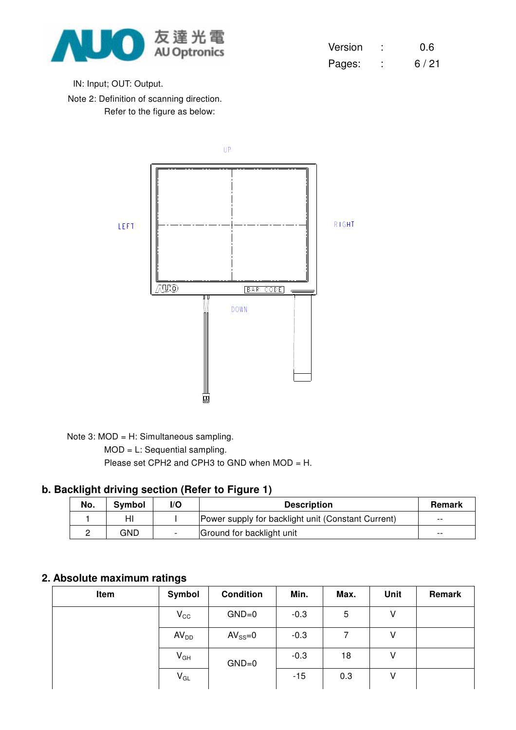

| Version | 0.6  |
|---------|------|
| Pages:  | 6/21 |

IN: Input; OUT: Output.

Note 2: Definition of scanning direction. Refer to the figure as below:



Note 3: MOD = H: Simultaneous sampling.

MOD = L: Sequential sampling.

Please set CPH2 and CPH3 to GND when MOD = H.

#### **b. Backlight driving section (Refer to Figure 1)**

| No. | Symbol | l/O | <b>Description</b>                                 | <b>Remark</b> |
|-----|--------|-----|----------------------------------------------------|---------------|
|     | HI     |     | Power supply for backlight unit (Constant Current) | $- -$         |
|     | GND    |     | Ground for backlight unit                          | $- -$         |

## **2. Absolute maximum ratings**

| Item | Symbol           | <b>Condition</b> | Min.   | Max. | Unit | Remark |
|------|------------------|------------------|--------|------|------|--------|
|      | $V_{\rm CC}$     | $GND=0$          | $-0.3$ | 5    | V    |        |
|      | AV <sub>DD</sub> | $AV_{SS}=0$      | $-0.3$ |      | ٧    |        |
|      | $V_{GH}$         | $GND=0$          | $-0.3$ | 18   | V    |        |
|      | $V_{GL}$         |                  | $-15$  | 0.3  | V    |        |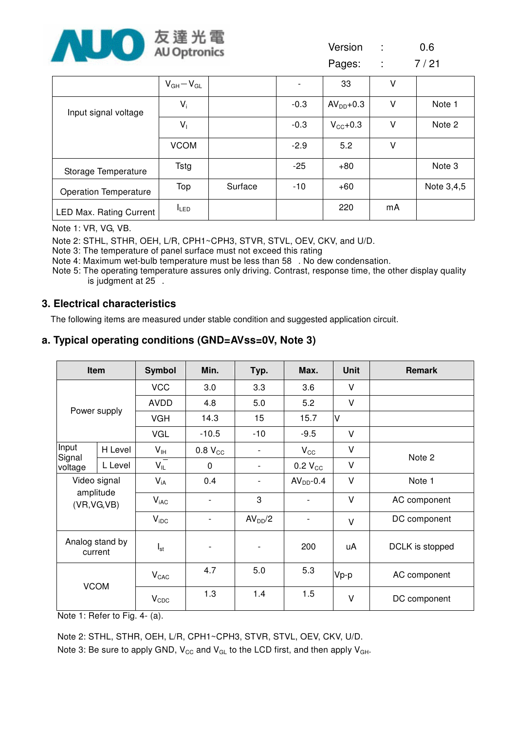

Version : 0.6

Pages: : 7/21

|                                | $V_{GH}-V_{GL}$ |         |        | 33                  | ٧  |            |
|--------------------------------|-----------------|---------|--------|---------------------|----|------------|
| Input signal voltage           | $V_i$           |         | $-0.3$ | $AVDD+0.3$          | ۷  | Note 1     |
|                                | V <sub>1</sub>  |         | $-0.3$ | $V_{\text{CC}}+0.3$ | ٧  | Note 2     |
|                                | <b>VCOM</b>     |         | $-2.9$ | 5.2                 | ٧  |            |
| Storage Temperature            | Tstg            |         | $-25$  | $+80$               |    | Note 3     |
| <b>Operation Temperature</b>   | Top             | Surface | $-10$  | $+60$               |    | Note 3,4,5 |
| <b>LED Max. Rating Current</b> | <b>ILED</b>     |         |        | 220                 | mA |            |

Note 1: VR, VG, VB.

Note 2: STHL, STHR, OEH, L/R, CPH1~CPH3, STVR, STVL, OEV, CKV, and U/D.

Note 3: The temperature of panel surface must not exceed this rating

Note 4: Maximum wet-bulb temperature must be less than 58. No dew condensation.

Note 5: The operating temperature assures only driving. Contrast, response time, the other display quality is judgment at 25.

#### **3. Electrical characteristics**

The following items are measured under stable condition and suggested application circuit.

#### **a. Typical operating conditions (GND=AVss=0V, Note 3)**

| Item                         |                            | <b>Symbol</b>    | Min.           | Typ.                     | Max.                     | <b>Unit</b> | <b>Remark</b>   |
|------------------------------|----------------------------|------------------|----------------|--------------------------|--------------------------|-------------|-----------------|
|                              |                            | <b>VCC</b>       | 3.0            | 3.3                      | 3.6                      | V           |                 |
|                              |                            | <b>AVDD</b>      | 4.8            | 5.0                      | 5.2                      | $\vee$      |                 |
|                              | Power supply               | <b>VGH</b>       | 14.3           | 15                       | 15.7                     | V           |                 |
|                              |                            | <b>VGL</b>       | $-10.5$        | $-10$                    | $-9.5$                   | $\vee$      |                 |
| Input                        | H Level                    | V <sub>IH</sub>  | $0.8 V_{CC}$   | $\overline{\phantom{a}}$ | $V_{\rm CC}$             | $\vee$      | Note 2          |
| Signal<br>L Level<br>voltage |                            | $V_{IL}$         | 0              | $\overline{\phantom{a}}$ | $0.2 V_{CC}$             | $\vee$      |                 |
| Video signal                 |                            | $V_{iA}$         | 0.4            | $\overline{\phantom{a}}$ | $AVDD-0.4$               | $\vee$      | Note 1          |
| (VR, VG, VB)                 | amplitude                  | $V_{iAC}$        |                | 3                        |                          | $\vee$      | AC component    |
|                              |                            | $V_{\text{IDC}}$ |                | AV <sub>DD</sub> /2      | $\overline{\phantom{a}}$ | $\vee$      | DC component    |
|                              | Analog stand by<br>current | $I_{st}$         | $\overline{a}$ | $\overline{\phantom{a}}$ | 200                      | uA          | DCLK is stopped |
| <b>VCOM</b>                  |                            | $V_{CAC}$        | 4.7            | 5.0                      | 5.3                      | Vp-p        | AC component    |
|                              |                            | $V_{CDC}$        | 1.3            | 1.4                      | 1.5                      | $\vee$      | DC component    |

Note 1: Refer to Fig. 4- (a).

Note 2: STHL, STHR, OEH, L/R, CPH1~CPH3, STVR, STVL, OEV, CKV, U/D.

Note 3: Be sure to apply GND,  $V_{CC}$  and  $V_{GL}$  to the LCD first, and then apply  $V_{GH}$ .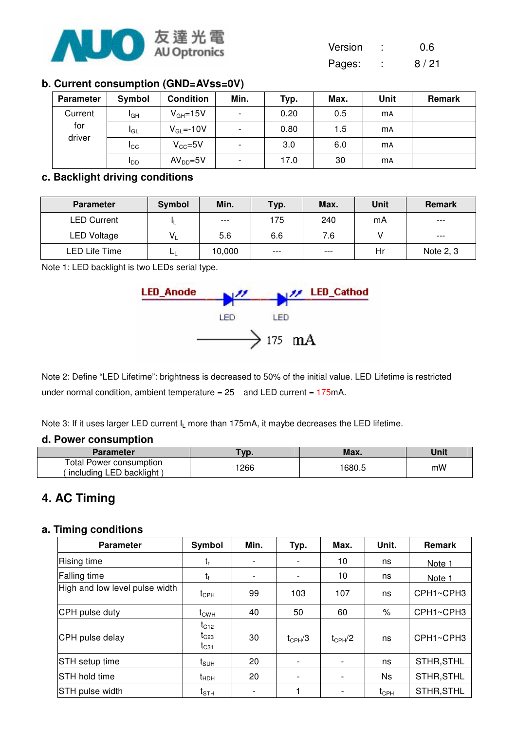

| Version | 0.6 |
|---------|-----|
|         |     |

Pages: : 8/21

### **b. Current consumption (GND=AVss=0V)**

| Parameter     | Symbol                 | <b>Condition</b> | Min.                     | Typ. | Max. | Unit      | Remark |
|---------------|------------------------|------------------|--------------------------|------|------|-----------|--------|
| Current       | I <sub>GH</sub>        | $V_{GH} = 15V$   | $\overline{\phantom{a}}$ | 0.20 | 0.5  | <b>mA</b> |        |
| for<br>driver | <b>I</b> GL            | $V_{GL} = -10V$  | $\overline{\phantom{a}}$ | 0.80 | 1.5  | <b>MA</b> |        |
|               | Icc                    | $V_{CC} = 5V$    | $\overline{\phantom{a}}$ | 3.0  | 6.0  | <b>mA</b> |        |
|               | <b>I</b> <sub>DD</sub> | $AVDD=5V$        | $\overline{\phantom{a}}$ | 17.0 | 30   | <b>MA</b> |        |

#### **c. Backlight driving conditions**

| <b>Parameter</b>   | Symbol | Min.   | Typ.  | Max.  | Unit | <b>Remark</b> |
|--------------------|--------|--------|-------|-------|------|---------------|
| <b>LED Current</b> |        | $---$  | 175   | 240   | mA   | $---$         |
| <b>LED Voltage</b> | $V_1$  | 5.6    | 6.6   | 7.6   |      | $---$         |
| LED Life Time      |        | 10,000 | $---$ | $---$ | Hr   | Note 2, 3     |

Note 1: LED backlight is two LEDs serial type.



Note 2: Define "LED Lifetime": brightness is decreased to 50% of the initial value. LED Lifetime is restricted under normal condition, ambient temperature =  $25$  and LED current =  $175mA$ .

Note 3: If it uses larger LED current I<sub>I</sub> more than 175mA, it maybe decreases the LED lifetime.

#### **d. Power consumption**

| Parameter                                                   | Vp.  | Max.   | Unit |
|-------------------------------------------------------------|------|--------|------|
| <b>Total Power consumption</b><br>(including LED backlight) | 1266 | 1680.5 | mW   |

# **4. AC Timing**

#### **a. Timing conditions**

| <b>Parameter</b>               | Symbol                              | Min.                     | Typ.                     | Max.        | Unit.         | Remark     |
|--------------------------------|-------------------------------------|--------------------------|--------------------------|-------------|---------------|------------|
| Rising time                    | $t_{r}$                             |                          |                          | 10          | ns            | Note 1     |
| Falling time                   | t <sub>f</sub>                      | $\overline{\phantom{a}}$ | $\overline{\phantom{a}}$ | 10          | ns            | Note 1     |
| High and low level pulse width | $t_{\text{CPH}}$                    | 99                       | 103                      | 107         | ns            | CPH1~CPH3  |
| CPH pulse duty                 | $t_{\text{CWH}}$                    | 40                       | 50                       | 60          | $\%$          | CPH1~CPH3  |
| CPH pulse delay                | $t_{C12}$<br>$t_{C23}$<br>$t_{C31}$ | 30                       | $t_{CPH}/3$              | $t_{CPH}/2$ | ns            | CPH1~CPH3  |
| STH setup time                 | $t_{\scriptstyle\text{SUH}}$        | 20                       |                          |             | ns            | STHR, STHL |
| STH hold time                  | $t_{HDH}$                           | 20                       |                          |             | Ns            | STHR, STHL |
| STH pulse width                | $t_{\scriptstyle\text{STH}}$        |                          |                          |             | $t_{\rm CPH}$ | STHR, STHL |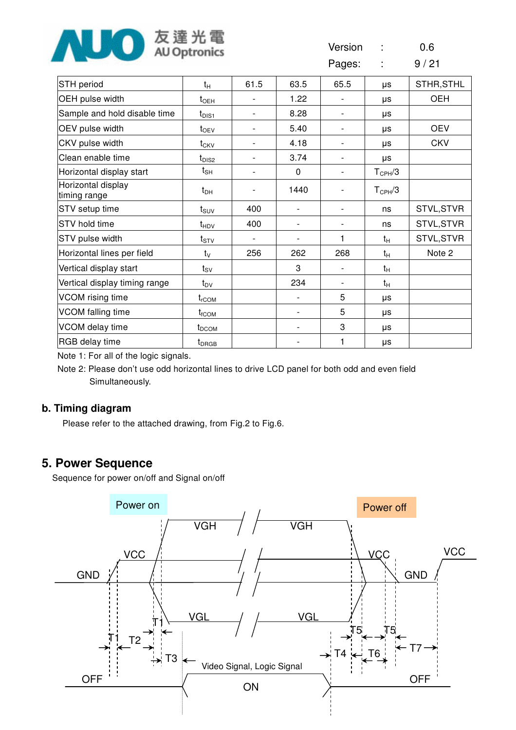

| Version<br>0.6 |
|----------------|
|----------------|

Pages: : 9/21

| STH period                         | $t_H$                         | 61.5 | 63.5           | 65.5                         | μs                 | STHR, STHL |
|------------------------------------|-------------------------------|------|----------------|------------------------------|--------------------|------------|
| OEH pulse width                    | $t_{\sf OEH}$                 |      | 1.22           |                              | μs                 | <b>OEH</b> |
| Sample and hold disable time       | $t_{\text{DIS1}}$             |      | 8.28           |                              | μs                 |            |
| OEV pulse width                    | $t_{\text{OEV}}$              |      | 5.40           | $\overline{\phantom{0}}$     | μs                 | <b>OEV</b> |
| CKV pulse width                    | $t_{CKV}$                     |      | 4.18           | $\qquad \qquad \blacksquare$ | μs                 | <b>CKV</b> |
| Clean enable time                  | $t_{\text{DIS2}}$             |      | 3.74           | $\qquad \qquad \blacksquare$ | μs                 |            |
| Horizontal display start           | $t_{\sf SH}$                  |      | $\Omega$       |                              | $T_{\text{CPH}}/3$ |            |
| Horizontal display<br>timing range | $t_{DH}$                      |      | 1440           |                              | $T_{\text{CPH}}/3$ |            |
| STV setup time                     | $t_{\text{SUV}}$              | 400  | $\overline{a}$ | $\overline{\phantom{0}}$     | ns                 | STVL, STVR |
| STV hold time                      | t <sub>HDV</sub>              | 400  |                |                              | ns                 | STVL, STVR |
| STV pulse width                    | $t_{STV}$                     |      |                | 1                            | $t_H$              | STVL, STVR |
| Horizontal lines per field         | $t_{\rm V}$                   | 256  | 262            | 268                          | $t_H$              | Note 2     |
| Vertical display start             | $t_{\scriptstyle\textrm{SV}}$ |      | 3              |                              | $t_H$              |            |
| Vertical display timing range      | $t_{\text{DV}}$               |      | 234            |                              | $t_H$              |            |
| VCOM rising time                   | $t_{rCOM}$                    |      |                | 5                            | μs                 |            |
| VCOM falling time                  | $t_{fCOM}$                    |      |                | 5                            | μs                 |            |
| VCOM delay time                    | t <sub>DCOM</sub>             |      |                | 3                            | μs                 |            |
| RGB delay time                     | $t_{DRGB}$                    |      |                |                              | μs                 |            |

Note 1: For all of the logic signals.

Note 2: Please don't use odd horizontal lines to drive LCD panel for both odd and even field Simultaneously.

## **b. Timing diagram**

Please refer to the attached drawing, from Fig.2 to Fig.6.

# **5. Power Sequence**

Sequence for power on/off and Signal on/off

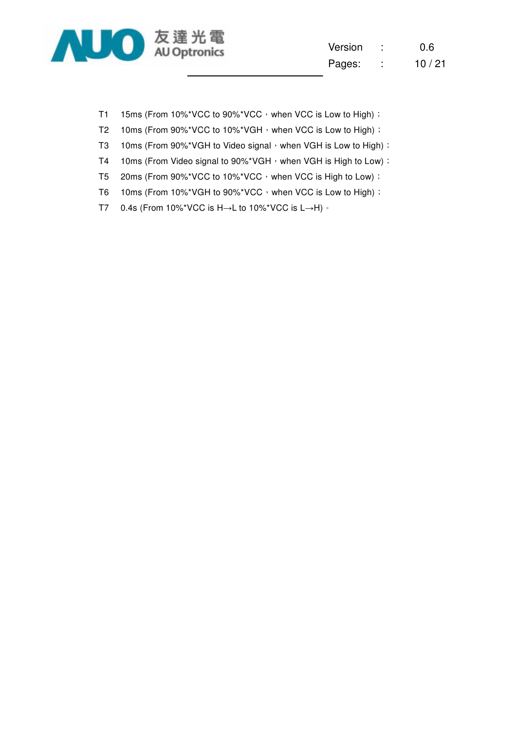

| Version |        | 0.6   |
|---------|--------|-------|
| Pages:  | ٠<br>٠ | 10/21 |

- T1 15ms (From 10%\*VCC to 90%\*VCC, when VCC is Low to High) :
- T2 10ms (From 90%\*VCC to 10%\*VGH, when VCC is Low to High) :
- T3 10ms (From 90%\*VGH to Video signal  $\cdot$  when VGH is Low to High) :
- T4 10ms (From Video signal to 90%\*VGH, when VGH is High to Low) :
- T5 20ms (From 90%\*VCC to 10%\*VCC, when VCC is High to Low) :
- T6 10ms (From 10%\*VGH to 90%\*VCC, when VCC is Low to High) :
- T7 0.4s (From 10%\*VCC is H→L to 10%\*VCC is L→H) ·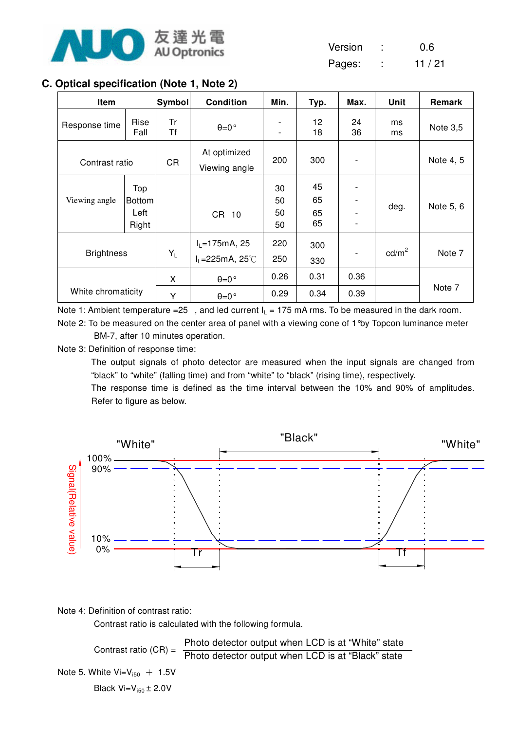

| Version | 0.6    |
|---------|--------|
|         | $\sim$ |

Pages: : 11 / 21

## **C. Optical specification (Note 1, Note 2)**

| Item               |                                       | Symbol    | <b>Condition</b>                                                 | Min.                     | Typ.                 | Max.         | <b>Unit</b>     | Remark    |
|--------------------|---------------------------------------|-----------|------------------------------------------------------------------|--------------------------|----------------------|--------------|-----------------|-----------|
| Response time      | Rise<br>Fall                          | Tr<br>Τf  | $\theta = 0$ °                                                   | $\overline{\phantom{a}}$ | 12<br>18             | 24<br>36     | ms<br>ms        | Note 3,5  |
| Contrast ratio     |                                       | <b>CR</b> | At optimized<br>Viewing angle                                    | 200                      | 300                  |              |                 | Note 4, 5 |
| Viewing angle      | Top<br><b>Bottom</b><br>Left<br>Right |           | CR 10                                                            | 30<br>50<br>50<br>50     | 45<br>65<br>65<br>65 |              | deg.            | Note 5, 6 |
| <b>Brightness</b>  |                                       | $Y_L$     | $I_L = 175$ mA, 25<br>$I_L = 225 \text{mA}, 25^{\circ} \text{C}$ | 220<br>250               | 300<br>330           |              | $\text{cd/m}^2$ | Note 7    |
| White chromaticity |                                       | X<br>Y    | $\theta = 0$ °<br>$\theta = 0$ °                                 | 0.26<br>0.29             | 0.31<br>0.34         | 0.36<br>0.39 |                 | Note 7    |

Note 1: Ambient temperature =25, and led current  $I_L = 175$  mA rms. To be measured in the dark room. Note 2: To be measured on the center area of panel with a viewing cone of 1°by Topcon luminance meter BM-7, after 10 minutes operation.

Note 3: Definition of response time:

The output signals of photo detector are measured when the input signals are changed from "black" to "white" (falling time) and from "white" to "black" (rising time), respectively.

The response time is defined as the time interval between the 10% and 90% of amplitudes. Refer to figure as below.



Note 4: Definition of contrast ratio:

Contrast ratio is calculated with the following formula.

Contrast ratio (CR) = Note 5. White  $Vi=V_{150}$  + 1.5V Black  $Vi=V_{150} \pm 2.0V$ Photo detector output when LCD is at "White" state Photo detector output when LCD is at "Black" state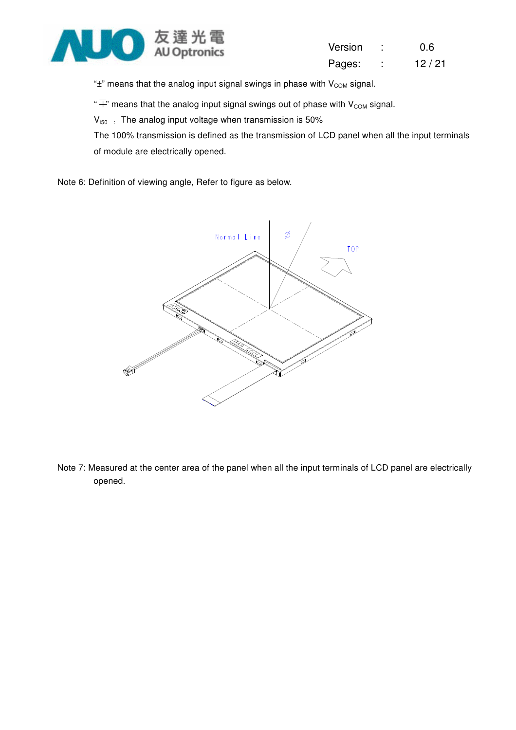

| Version | 0.6   |
|---------|-------|
| Pages:  | 12/21 |

" $\pm$ " means that the analog input signal swings in phase with  $V_{COM}$  signal.

" $\overline{+}$ " means that the analog input signal swings out of phase with V<sub>COM</sub> signal.

 $V_{i50}$ : The analog input voltage when transmission is 50%

The 100% transmission is defined as the transmission of LCD panel when all the input terminals of module are electrically opened.

Note 6: Definition of viewing angle, Refer to figure as below.



Note 7: Measured at the center area of the panel when all the input terminals of LCD panel are electrically opened.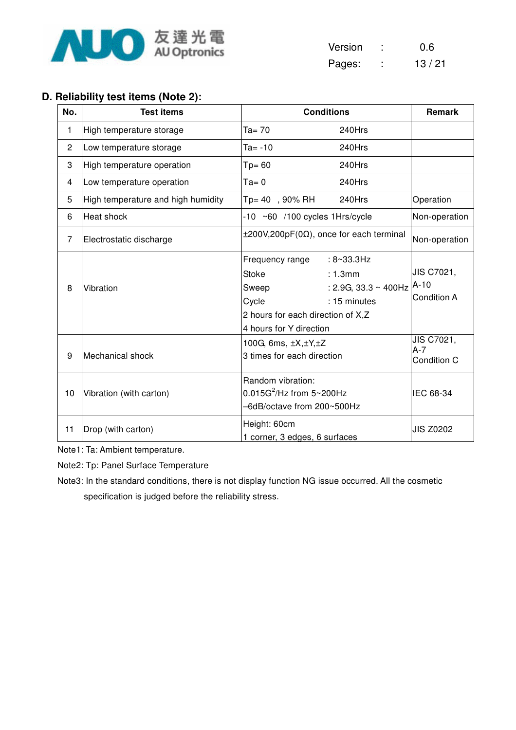

| Version | 0.6   |
|---------|-------|
| Pages:  | 13/21 |

## **D. Reliability test items (Note 2):**

| No.            | <b>Test items</b>                  | <b>Conditions</b>                                                                                                                                                                            | Remark                              |
|----------------|------------------------------------|----------------------------------------------------------------------------------------------------------------------------------------------------------------------------------------------|-------------------------------------|
| 1              | High temperature storage           | $Ta = 70$<br>240Hrs                                                                                                                                                                          |                                     |
| $\overline{c}$ | Low temperature storage            | $Ta = -10$<br>240Hrs                                                                                                                                                                         |                                     |
| 3              | High temperature operation         | 240Hrs<br>$Tp = 60$                                                                                                                                                                          |                                     |
| 4              | Low temperature operation          | $Ta = 0$<br>240Hrs                                                                                                                                                                           |                                     |
| 5              | High temperature and high humidity | 240Hrs<br>Tp= 40, 90% RH                                                                                                                                                                     | Operation                           |
| 6              | Heat shock                         | $-10$ ~60 /100 cycles 1Hrs/cycle                                                                                                                                                             | Non-operation                       |
| 7              | Electrostatic discharge            | $\pm 200V, 200pF(0\Omega)$ , once for each terminal                                                                                                                                          | Non-operation                       |
| 8              | Vibration                          | Frequency range<br>$: 8 - 33.3$ Hz<br><b>Stoke</b><br>: 1.3mm<br>: 2.9G, 33.3 $\sim$ 400Hz<br>Sweep<br>Cycle<br>: 15 minutes<br>2 hours for each direction of X,Z<br>4 hours for Y direction | JIS C7021,<br>$A-10$<br>Condition A |
| 9              | Mechanical shock                   | 100G, 6ms, $\pm X, \pm Y, \pm Z$<br>3 times for each direction                                                                                                                               | JIS C7021,<br>$A-7$<br>Condition C  |
| 10             | Vibration (with carton)            | Random vibration:<br>$0.015G^2$ /Hz from $5 \sim 200Hz$<br>-6dB/octave from 200~500Hz                                                                                                        | IEC 68-34                           |
| 11             | Drop (with carton)                 | Height: 60cm<br>1 corner, 3 edges, 6 surfaces                                                                                                                                                | <b>JIS Z0202</b>                    |

Note1: Ta: Ambient temperature.

Note2: Tp: Panel Surface Temperature

Note3: In the standard conditions, there is not display function NG issue occurred. All the cosmetic specification is judged before the reliability stress.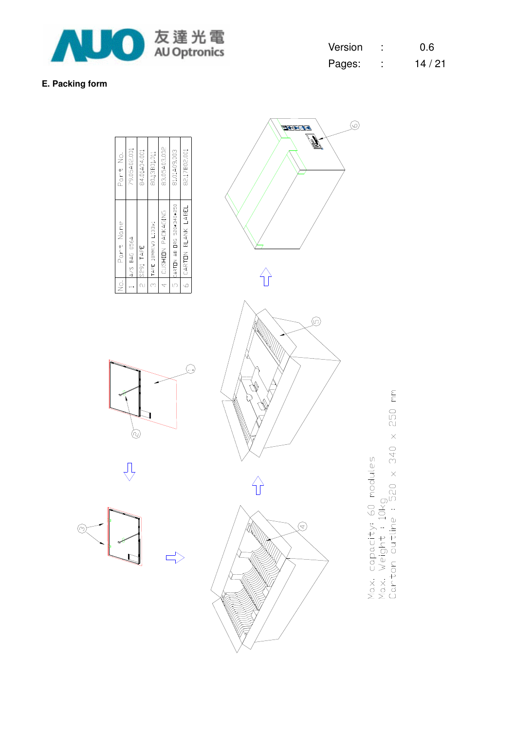

**E. Packing form** 

| Version |   | 0.6   |
|---------|---|-------|
| Pages:  | ٠ | 14/21 |

 $\circledcirc$ 

 $\frac{1}{2}$ 

 $\circledcirc$ 

#### 83.05A03.002 79.05A02.001 84.01A04.001 81.01A09.003 82.17802.001 80.13B01.011 Part No. 5 CARTON AB ORG 520\*340\*250 6 CARTON BLANK LABEL 4 CUSHIDN PACKAGING  $\overline{3}$  TAPE 18MM(W) L133x1 Part Name A/S BAG 056A 2 S291 TAPE  $\overline{R}$  $\overline{a}$

 $\overline{\mathbb{F}}$ 





 $\begin{picture}(120,15) \put(0,0){\line(1,0){15}} \put(15,0){\line(1,0){15}} \put(15,0){\line(1,0){15}} \put(15,0){\line(1,0){15}} \put(15,0){\line(1,0){15}} \put(15,0){\line(1,0){15}} \put(15,0){\line(1,0){15}} \put(15,0){\line(1,0){15}} \put(15,0){\line(1,0){15}} \put(15,0){\line(1,0){15}} \put(15,0){\line(1,0){15}} \put(15,0){\line($ 

250 mm Max, capacity; 60 modules<br>Max, Weight : 10kg<br>Carton outline : 520 x 340 x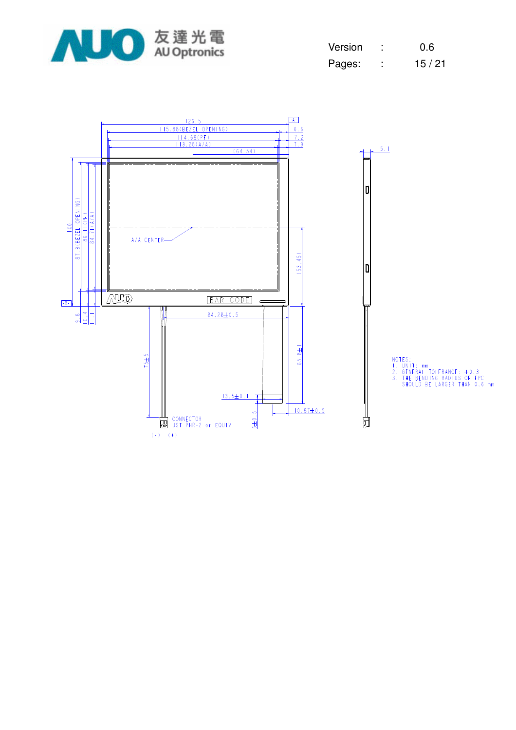

| Version | 0.6   |
|---------|-------|
| Pages:  | 15/21 |

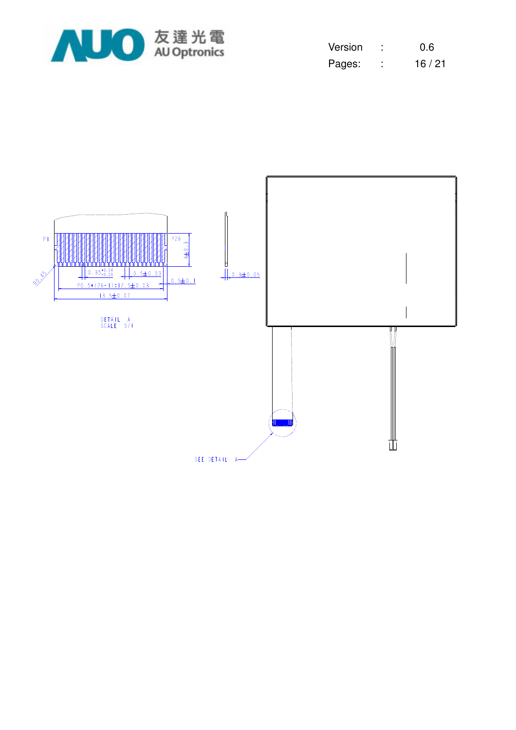

| Version | ٠ | 0.6   |
|---------|---|-------|
| Pages:  |   | 16/21 |

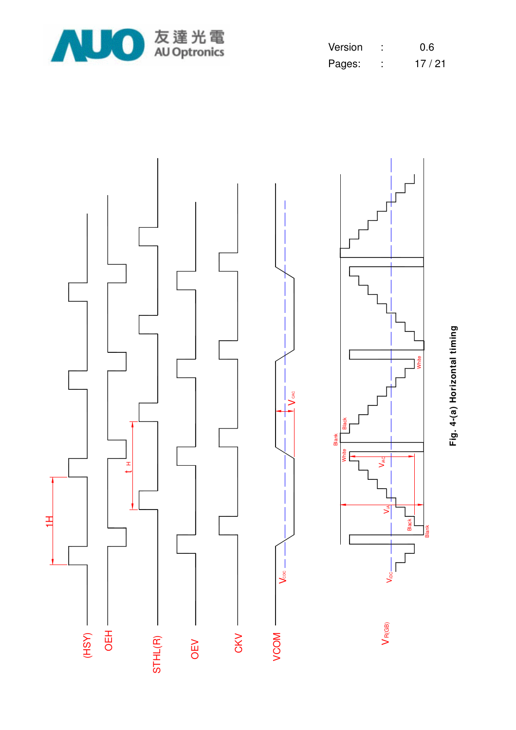

| Version | 0.6   |
|---------|-------|
| Pages:  | 17/21 |



Fig. 4-(a) Horizontal timing **Fig. 4-(a) Horizontal timing**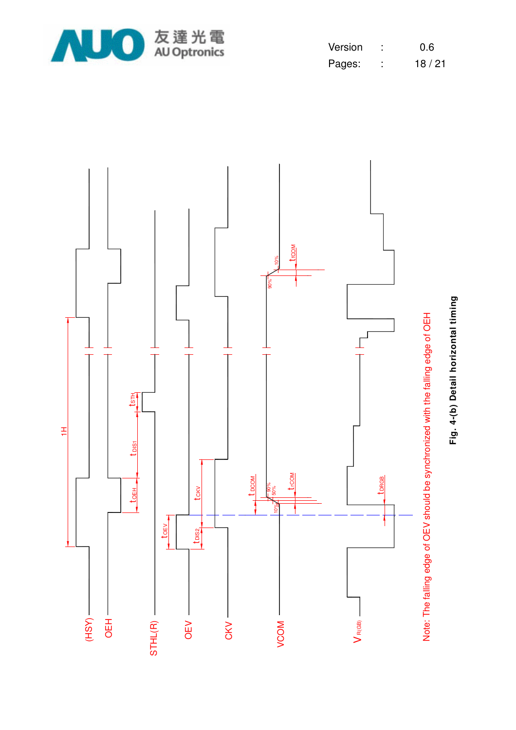

| Version | 0.6   |
|---------|-------|
| Pages:  | 18/21 |



Fig. 4-(b) Detail horizontal timing **Fig. 4-(b) Detail horizontal timing**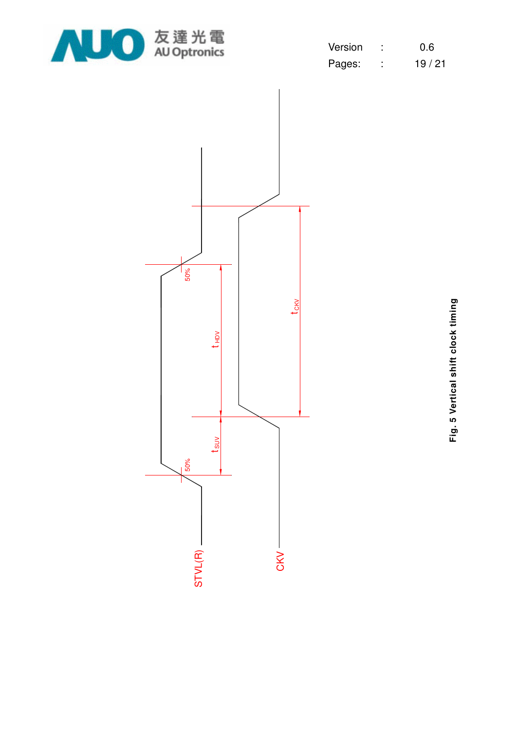

| Version | 0.6   |
|---------|-------|
| Pages:  | 19/21 |



Fig. 5 Vertical shift clock timing **Fig. 5 Vertical shift clock timing**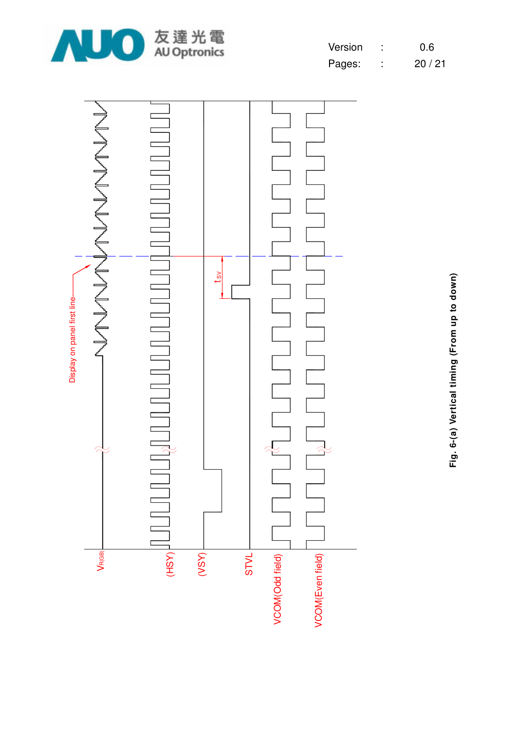





**Fig. 6-(a) Vertical timing (From up to down)** Fig. 6-(a) Vertical timing (From up to down)